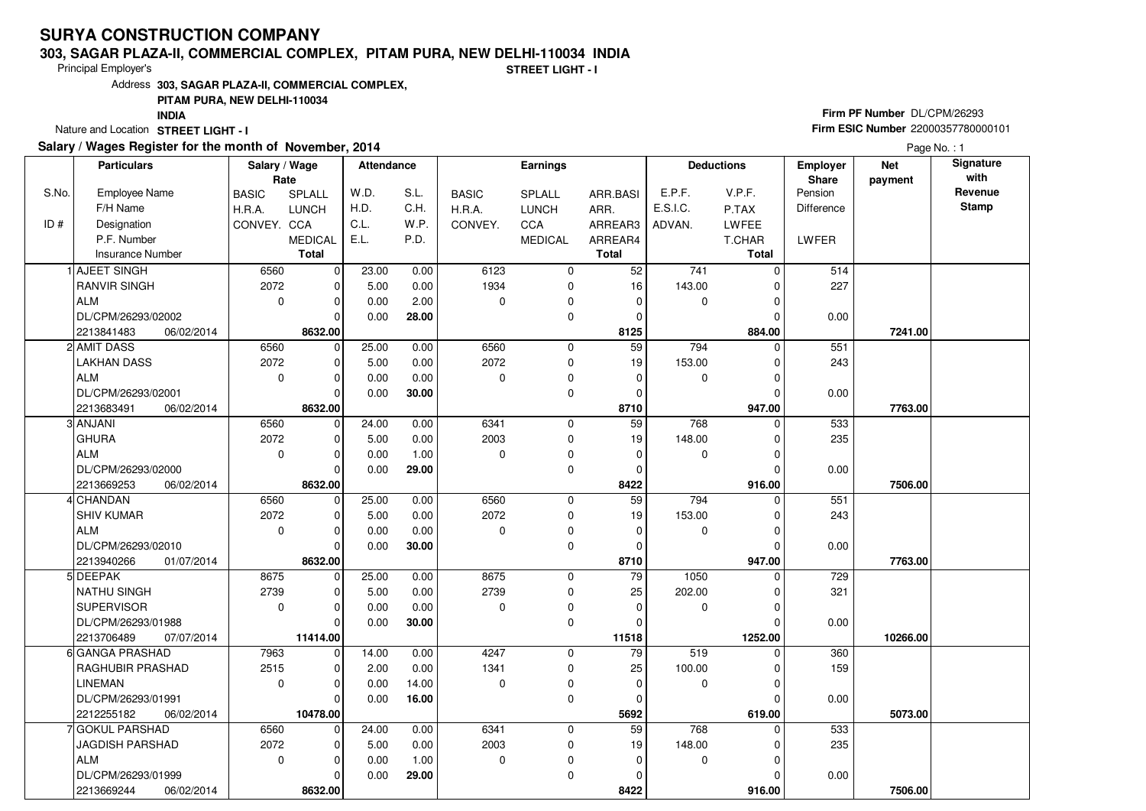#### **303, SAGAR PLAZA-II, COMMERCIAL COMPLEX, PITAM PURA, NEW DELHI-110034 INDIA**

Principal Employer's

**STREET LIGHT - I**

Address**303, SAGAR PLAZA-II, COMMERCIAL COMPLEX,**

### **PITAM PURA, NEW DELHI-110034**

**INDIA**

Nature and Location STREET LIGHT - I

### **Salary / Wages Register for the month of November, 2014**

## **Firm PF Number** DL/CPM/26293 **Firm ESIC Number** <sup>22000357780000101</sup>

Page No. : 1

|       | <b>Particulars</b>       | Salary / Wage<br>Rate |                | <b>Attendance</b> |       |              | <b>Earnings</b> |                 | <b>Deductions</b> |              | Employer<br>Share | <b>Net</b><br>payment | Signature<br>with |
|-------|--------------------------|-----------------------|----------------|-------------------|-------|--------------|-----------------|-----------------|-------------------|--------------|-------------------|-----------------------|-------------------|
| S.No. | <b>Employee Name</b>     | <b>BASIC</b>          | SPLALL         | W.D.              | S.L.  | <b>BASIC</b> | <b>SPLALL</b>   | ARR.BASI        | E.P.F.            | V.P.F.       | Pension           |                       | Revenue           |
|       | F/H Name                 | H.R.A.                | <b>LUNCH</b>   | H.D.              | C.H.  | H.R.A.       | <b>LUNCH</b>    | ARR.            | E.S.I.C.          | P.TAX        | <b>Difference</b> |                       | <b>Stamp</b>      |
| ID#   | Designation              | CONVEY. CCA           |                | C.L.              | W.P.  | CONVEY.      | CCA             | ARREAR3         | ADVAN.            | <b>LWFEE</b> |                   |                       |                   |
|       | P.F. Number              |                       | <b>MEDICAL</b> | E.L.              | P.D.  |              | <b>MEDICAL</b>  | ARREAR4         |                   | T.CHAR       | LWFER             |                       |                   |
|       | <b>Insurance Number</b>  |                       | <b>Total</b>   |                   |       |              |                 | <b>Total</b>    |                   | <b>Total</b> |                   |                       |                   |
|       | 1 AJEET SINGH            | 6560                  | $\mathbf 0$    | 23.00             | 0.00  | 6123         | 0               | 52              | 741               | $\Omega$     | 514               |                       |                   |
|       | <b>RANVIR SINGH</b>      | 2072                  | $\mathbf 0$    | 5.00              | 0.00  | 1934         | 0               | 16              | 143.00            | $\Omega$     | 227               |                       |                   |
|       | <b>ALM</b>               | $\mathbf 0$           | $\mathbf 0$    | 0.00              | 2.00  | 0            | 0               | 0               | 0                 | 0            |                   |                       |                   |
|       | DL/CPM/26293/02002       |                       | $\Omega$       | 0.00              | 28.00 |              | 0               | 0               |                   | O            | 0.00              |                       |                   |
|       | 06/02/2014<br>2213841483 |                       | 8632.00        |                   |       |              |                 | 8125            |                   | 884.00       |                   | 7241.00               |                   |
|       | 2 AMIT DASS              | 6560                  | $\mathbf 0$    | 25.00             | 0.00  | 6560         | $\mathbf 0$     | 59              | 794               | $\Omega$     | 551               |                       |                   |
|       | <b>LAKHAN DASS</b>       | 2072                  | $\mathbf 0$    | 5.00              | 0.00  | 2072         | 0               | 19              | 153.00            | $\Omega$     | 243               |                       |                   |
|       | ALM                      | $\mathbf 0$           | $\mathbf 0$    | 0.00              | 0.00  | $\Omega$     | 0               | $\mathbf 0$     | 0                 | $\Omega$     |                   |                       |                   |
|       | DL/CPM/26293/02001       |                       | $\Omega$       | 0.00              | 30.00 |              | $\mathbf 0$     | $\mathbf 0$     |                   | $\Omega$     | 0.00              |                       |                   |
|       | 2213683491<br>06/02/2014 |                       | 8632.00        |                   |       |              |                 | 8710            |                   | 947.00       |                   | 7763.00               |                   |
|       | 3 ANJANI                 | 6560                  | $\mathbf 0$    | 24.00             | 0.00  | 6341         | 0               | 59              | 768               | 0            | 533               |                       |                   |
|       | GHURA                    | 2072                  | $\mathbf 0$    | 5.00              | 0.00  | 2003         | $\mathbf 0$     | 19              | 148.00            | 0            | 235               |                       |                   |
|       | <b>ALM</b>               | $\mathbf 0$           | $\Omega$       | 0.00              | 1.00  | $\Omega$     | 0               | $\Omega$        | 0                 | $\Omega$     |                   |                       |                   |
|       | DL/CPM/26293/02000       |                       | $\Omega$       | 0.00              | 29.00 |              | 0               | $\mathbf 0$     |                   | $\Omega$     | 0.00              |                       |                   |
|       | 06/02/2014<br>2213669253 |                       | 8632.00        |                   |       |              |                 | 8422            |                   | 916.00       |                   | 7506.00               |                   |
|       | 4 CHANDAN                | 6560                  | 0              | 25.00             | 0.00  | 6560         | $\mathbf 0$     | $\overline{59}$ | 794               | $\Omega$     | 551               |                       |                   |
|       | <b>SHIV KUMAR</b>        | 2072                  | $\mathbf 0$    | 5.00              | 0.00  | 2072         | $\mathbf 0$     | 19              | 153.00            |              | 243               |                       |                   |
|       | ALM                      | $\mathbf 0$           | $\mathbf 0$    | 0.00              | 0.00  | $\Omega$     | 0               | $\mathbf 0$     | 0                 |              |                   |                       |                   |
|       | DL/CPM/26293/02010       |                       | $\Omega$       | 0.00              | 30.00 |              | $\mathbf 0$     | 0               |                   | $\Omega$     | 0.00              |                       |                   |
|       | 2213940266<br>01/07/2014 |                       | 8632.00        |                   |       |              |                 | 8710            |                   | 947.00       |                   | 7763.00               |                   |
|       | 5 DEEPAK                 | 8675                  | $\mathbf 0$    | 25.00             | 0.00  | 8675         | 0               | 79              | 1050              | 0            | 729               |                       |                   |
|       | <b>NATHU SINGH</b>       | 2739                  | $\mathbf 0$    | 5.00              | 0.00  | 2739         | $\mathbf 0$     | 25              | 202.00            |              | 321               |                       |                   |
|       | SUPERVISOR               | $\mathbf 0$           | $\mathbf 0$    | 0.00              | 0.00  | $\Omega$     | 0               | $\mathbf 0$     | 0                 | O            |                   |                       |                   |
|       | DL/CPM/26293/01988       |                       | $\Omega$       | 0.00              | 30.00 |              | $\mathbf 0$     | $\mathbf 0$     |                   |              | 0.00              |                       |                   |
|       | 2213706489<br>07/07/2014 |                       | 11414.00       |                   |       |              |                 | 11518           |                   | 1252.00      |                   | 10266.00              |                   |
|       | 6 GANGA PRASHAD          | 7963                  | $\mathbf 0$    | 14.00             | 0.00  | 4247         | $\mathbf 0$     | 79              | 519               | 0            | 360               |                       |                   |
|       | <b>RAGHUBIR PRASHAD</b>  | 2515                  | $\mathbf 0$    | 2.00              | 0.00  | 1341         | 0               | 25              | 100.00            |              | 159               |                       |                   |
|       | <b>LINEMAN</b>           | $\Omega$              | $\Omega$       | 0.00              | 14.00 | $\Omega$     | $\mathbf 0$     | 0               | 0                 | $\Omega$     |                   |                       |                   |
|       | DL/CPM/26293/01991       |                       | $\Omega$       | 0.00              | 16.00 |              | $\Omega$        | $\mathbf 0$     |                   |              | 0.00              |                       |                   |
|       | 2212255182<br>06/02/2014 |                       | 10478.00       |                   |       |              |                 | 5692            |                   | 619.00       |                   | 5073.00               |                   |
|       | 7 GOKUL PARSHAD          | 6560                  | $\mathbf 0$    | 24.00             | 0.00  | 6341         | $\mathbf 0$     | 59              | 768               | $\Omega$     | 533               |                       |                   |
|       | <b>JAGDISH PARSHAD</b>   | 2072                  | $\mathbf 0$    | 5.00              | 0.00  | 2003         | 0               | 19              | 148.00            |              | 235               |                       |                   |
|       | ALM                      | $\mathbf 0$           | $\Omega$       | 0.00              | 1.00  | $\mathbf 0$  | 0               | $\mathbf 0$     | 0                 |              |                   |                       |                   |
|       | DL/CPM/26293/01999       |                       | $\Omega$       | 0.00              | 29.00 |              | $\mathbf 0$     | $\Omega$        |                   |              | 0.00              |                       |                   |
|       | 2213669244<br>06/02/2014 |                       | 8632.00        |                   |       |              |                 | 8422            |                   | 916.00       |                   | 7506.00               |                   |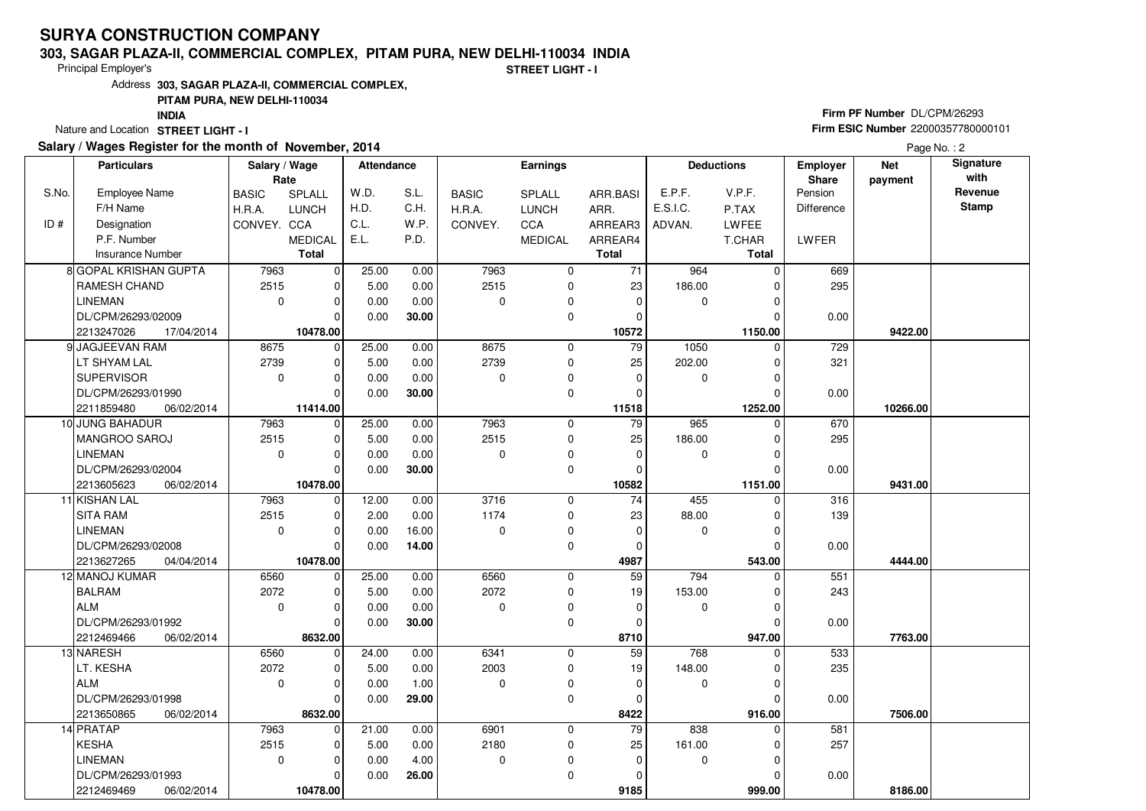#### **303, SAGAR PLAZA-II, COMMERCIAL COMPLEX, PITAM PURA, NEW DELHI-110034 INDIA**

Principal Employer's

**STREET LIGHT - I**

Address**303, SAGAR PLAZA-II, COMMERCIAL COMPLEX,**

### **PITAM PURA, NEW DELHI-110034**

**INDIA**

Nature and Location STREET LIGHT - I

### **Salary / Wages Register for the month of November, 2014**

## **Firm PF Number** DL/CPM/26293 **Firm ESIC Number** <sup>22000357780000101</sup>

Page No. : 2

|       | <b>Particulars</b>       | Salary / Wage<br>Rate |                | <b>Attendance</b> |       |              | <b>Earnings</b> |                 | <b>Deductions</b> |              | <b>Employer</b><br>Share | <b>Net</b><br>payment | Signature<br>with |
|-------|--------------------------|-----------------------|----------------|-------------------|-------|--------------|-----------------|-----------------|-------------------|--------------|--------------------------|-----------------------|-------------------|
| S.No. | Employee Name            | <b>BASIC</b>          | SPLALL         | W.D.              | S.L.  | <b>BASIC</b> | SPLALL          | ARR.BASI        | E.P.F.            | V.P.F.       | Pension                  |                       | Revenue           |
|       | F/H Name                 | H.R.A.                | <b>LUNCH</b>   | H.D.              | C.H.  | H.R.A.       | <b>LUNCH</b>    | ARR.            | E.S.I.C.          | P.TAX        | Difference               |                       | <b>Stamp</b>      |
| ID#   | Designation              | CONVEY. CCA           |                | C.L.              | W.P.  | CONVEY.      | CCA             | ARREAR3         | ADVAN.            | <b>LWFEE</b> |                          |                       |                   |
|       | P.F. Number              |                       | <b>MEDICAL</b> | E.L.              | P.D.  |              | <b>MEDICAL</b>  | ARREAR4         |                   | T.CHAR       | LWFER                    |                       |                   |
|       | <b>Insurance Number</b>  |                       | <b>Total</b>   |                   |       |              |                 | Total           |                   | Total        |                          |                       |                   |
|       | 8 GOPAL KRISHAN GUPTA    | 7963                  | $\mathbf 0$    | 25.00             | 0.00  | 7963         | 0               | 71              | 964               | $\Omega$     | 669                      |                       |                   |
|       | <b>RAMESH CHAND</b>      | 2515                  | $\mathbf 0$    | 5.00              | 0.00  | 2515         | 0               | 23              | 186.00            | $\Omega$     | 295                      |                       |                   |
|       | <b>LINEMAN</b>           | $\mathbf 0$           | $\mathbf 0$    | 0.00              | 0.00  | 0            | 0               | $\mathbf 0$     | 0                 | $\Omega$     |                          |                       |                   |
|       | DL/CPM/26293/02009       |                       | $\Omega$       | 0.00              | 30.00 |              | 0               | $\Omega$        |                   |              | 0.00                     |                       |                   |
|       | 2213247026<br>17/04/2014 |                       | 10478.00       |                   |       |              |                 | 10572           |                   | 1150.00      |                          | 9422.00               |                   |
|       | 9 JAGJEEVAN RAM          | 8675                  | $\mathbf 0$    | 25.00             | 0.00  | 8675         | 0               | 79              | 1050              | $\Omega$     | 729                      |                       |                   |
|       | LT SHYAM LAL             | 2739                  | $\mathbf 0$    | 5.00              | 0.00  | 2739         | $\mathbf 0$     | 25              | 202.00            | $\Omega$     | 321                      |                       |                   |
|       | SUPERVISOR               | $\mathbf 0$           | $\Omega$       | 0.00              | 0.00  | 0            | 0               | $\mathbf 0$     | 0                 | $\Omega$     |                          |                       |                   |
|       | DL/CPM/26293/01990       |                       | $\Omega$       | 0.00              | 30.00 |              | $\mathbf 0$     | $\Omega$        |                   |              | 0.00                     |                       |                   |
|       | 2211859480<br>06/02/2014 |                       | 11414.00       |                   |       |              |                 | 11518           |                   | 1252.00      |                          | 10266.00              |                   |
|       | 10 JUNG BAHADUR          | 7963                  | $\mathbf 0$    | 25.00             | 0.00  | 7963         | 0               | $\overline{79}$ | 965               | 0            | 670                      |                       |                   |
|       | MANGROO SAROJ            | 2515                  | $\mathbf 0$    | 5.00              | 0.00  | 2515         | 0               | 25              | 186.00            | $\Omega$     | 295                      |                       |                   |
|       | <b>LINEMAN</b>           | $\mathbf 0$           | $\Omega$       | 0.00              | 0.00  | $\Omega$     | 0               | $\Omega$        | $\mathbf 0$       | $\Omega$     |                          |                       |                   |
|       | DL/CPM/26293/02004       |                       | $\Omega$       | 0.00              | 30.00 |              | 0               | $\Omega$        |                   |              | 0.00                     |                       |                   |
|       | 2213605623<br>06/02/2014 |                       | 10478.00       |                   |       |              |                 | 10582           |                   | 1151.00      |                          | 9431.00               |                   |
|       | 11 KISHAN LAL            | 7963                  | 0              | 12.00             | 0.00  | 3716         | $\mathbf 0$     | $\overline{74}$ | 455               | $\Omega$     | 316                      |                       |                   |
|       | <b>SITA RAM</b>          | 2515                  | $\mathbf 0$    | 2.00              | 0.00  | 1174         | 0               | 23              | 88.00             | $\Omega$     | 139                      |                       |                   |
|       | <b>LINEMAN</b>           | $\Omega$              | $\Omega$       | 0.00              | 16.00 | $\Omega$     | 0               | $\Omega$        | $\mathbf 0$       | $\Omega$     |                          |                       |                   |
|       | DL/CPM/26293/02008       |                       | $\Omega$       | 0.00              | 14.00 |              | $\mathbf 0$     | 0               |                   |              | 0.00                     |                       |                   |
|       | 2213627265<br>04/04/2014 |                       | 10478.00       |                   |       |              |                 | 4987            |                   | 543.00       |                          | 4444.00               |                   |
|       | 12 MANOJ KUMAR           | 6560                  | $\mathbf 0$    | 25.00             | 0.00  | 6560         | $\mathbf 0$     | 59              | 794               |              | 551                      |                       |                   |
|       | BALRAM                   | 2072                  | $\Omega$       | 5.00              | 0.00  | 2072         | 0               | 19              | 153.00            | $\Omega$     | 243                      |                       |                   |
|       | ALM                      | $\mathbf 0$           | $\Omega$       | 0.00              | 0.00  | $\Omega$     | $\mathbf 0$     | $\mathbf 0$     | 0                 | $\Omega$     |                          |                       |                   |
|       | DL/CPM/26293/01992       |                       | $\Omega$       | 0.00              | 30.00 |              | 0               | 0               |                   |              | 0.00                     |                       |                   |
|       | 2212469466<br>06/02/2014 |                       | 8632.00        |                   |       |              |                 | 8710            |                   | 947.00       |                          | 7763.00               |                   |
|       | 13 NARESH                | 6560                  | $\mathbf 0$    | 24.00             | 0.00  | 6341         | 0               | 59              | 768               | $\Omega$     | 533                      |                       |                   |
|       | LT. KESHA                | 2072                  | $\Omega$       | 5.00              | 0.00  | 2003         | $\mathbf 0$     | 19              | 148.00            | $\Omega$     | 235                      |                       |                   |
|       | ALM                      | $\mathbf 0$           | $\Omega$       | 0.00              | 1.00  | $\Omega$     | $\mathbf 0$     | $\mathbf 0$     | 0                 |              |                          |                       |                   |
|       | DL/CPM/26293/01998       |                       | $\Omega$       | 0.00              | 29.00 |              | 0               | $\Omega$        |                   | 0            | 0.00                     |                       |                   |
|       | 2213650865<br>06/02/2014 |                       | 8632.00        |                   |       |              |                 | 8422            |                   | 916.00       |                          | 7506.00               |                   |
|       | 14 PRATAP                | 7963                  | $\Omega$       | 21.00             | 0.00  | 6901         | $\mathbf 0$     | 79              | 838               | $\Omega$     | 581                      |                       |                   |
|       | KESHA                    | 2515                  | $\mathbf 0$    | 5.00              | 0.00  | 2180         | $\pmb{0}$       | 25              | 161.00            |              | 257                      |                       |                   |
|       | <b>LINEMAN</b>           | $\mathbf{0}$          | $\Omega$       | 0.00              | 4.00  | $\mathbf 0$  | 0               | $\mathbf 0$     | 0                 | $\Omega$     |                          |                       |                   |
|       | DL/CPM/26293/01993       |                       | 0              | 0.00              | 26.00 |              | 0               | 0               |                   |              | 0.00                     |                       |                   |
|       | 2212469469<br>06/02/2014 |                       | 10478.00       |                   |       |              |                 | 9185            |                   | 999.00       |                          | 8186.00               |                   |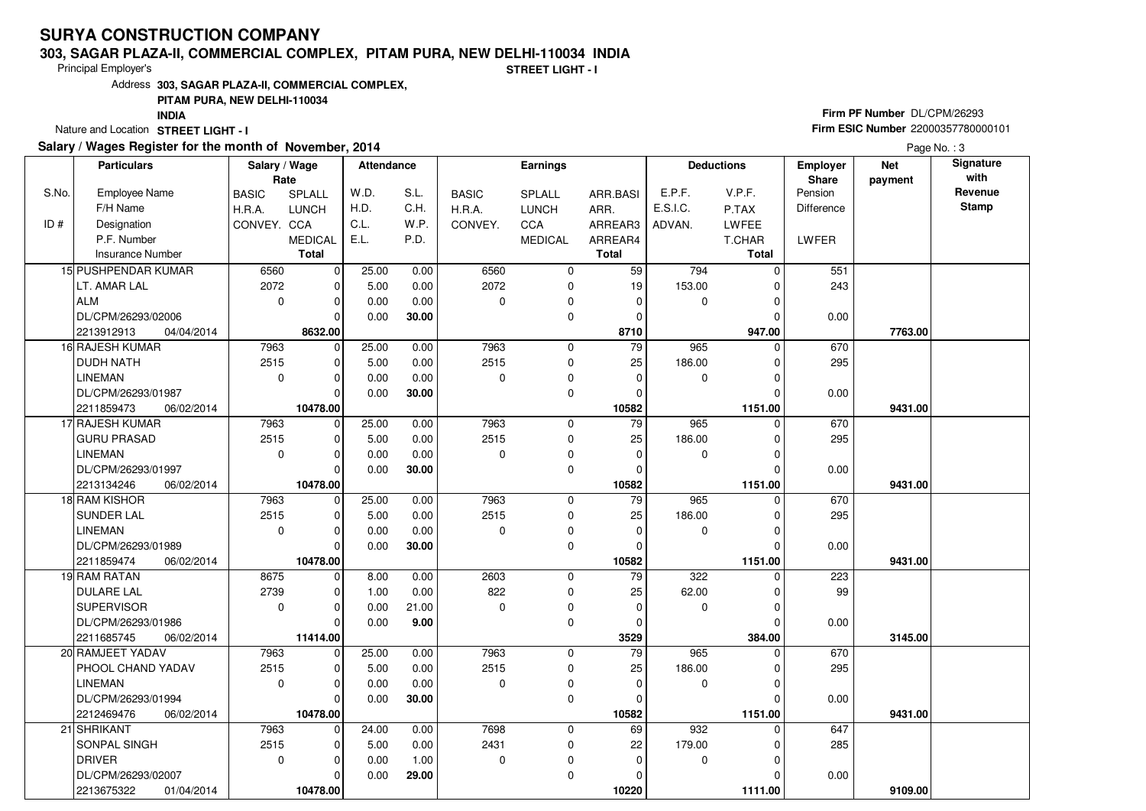#### **303, SAGAR PLAZA-II, COMMERCIAL COMPLEX, PITAM PURA, NEW DELHI-110034 INDIA**

Principal Employer's

**STREET LIGHT - I**

Address**303, SAGAR PLAZA-II, COMMERCIAL COMPLEX,**

### **PITAM PURA, NEW DELHI-110034**

**INDIA**

Nature and Location STREET LIGHT - I

### **Salary / Wages Register for the month of November, 2014**

## **Firm PF Number** DL/CPM/26293 **Firm ESIC Number** <sup>22000357780000101</sup>

Page No.: 3

|       | <b>Particulars</b>       | Salary / Wage<br>Rate |                | <b>Attendance</b> |       |              | Earnings       |                 | <b>Deductions</b> |              | <b>Employer</b><br>Share | <b>Net</b><br>payment | Signature<br>with |
|-------|--------------------------|-----------------------|----------------|-------------------|-------|--------------|----------------|-----------------|-------------------|--------------|--------------------------|-----------------------|-------------------|
| S.No. | Employee Name            | <b>BASIC</b>          | SPLALL         | W.D.              | S.L.  | <b>BASIC</b> | SPLALL         | ARR.BASI        | E.P.F.            | V.P.F.       | Pension                  |                       | Revenue           |
|       | F/H Name                 | H.R.A.                | <b>LUNCH</b>   | H.D.              | C.H.  | H.R.A.       | <b>LUNCH</b>   | ARR.            | E.S.I.C.          | P.TAX        | Difference               |                       | <b>Stamp</b>      |
| ID#   | Designation              | CONVEY. CCA           |                | C.L.              | W.P.  | CONVEY.      | CCA            | ARREAR3         | ADVAN.            | <b>LWFEE</b> |                          |                       |                   |
|       | P.F. Number              |                       | <b>MEDICAL</b> | E.L.              | P.D.  |              | <b>MEDICAL</b> | ARREAR4         |                   | T.CHAR       | LWFER                    |                       |                   |
|       | <b>Insurance Number</b>  |                       | <b>Total</b>   |                   |       |              |                | Total           |                   | Total        |                          |                       |                   |
|       | 15 PUSHPENDAR KUMAR      | 6560                  | $\mathbf 0$    | 25.00             | 0.00  | 6560         | 0              | 59              | 794               | $\Omega$     | 551                      |                       |                   |
|       | LT. AMAR LAL             | 2072                  | $\mathbf 0$    | 5.00              | 0.00  | 2072         | 0              | 19              | 153.00            | $\Omega$     | 243                      |                       |                   |
|       | ALM                      | $\mathbf 0$           | $\mathbf 0$    | 0.00              | 0.00  | 0            | 0              | 0               | 0                 | $\Omega$     |                          |                       |                   |
|       | DL/CPM/26293/02006       |                       | $\Omega$       | 0.00              | 30.00 |              | 0              | 0               |                   |              | 0.00                     |                       |                   |
|       | 2213912913<br>04/04/2014 |                       | 8632.00        |                   |       |              |                | 8710            |                   | 947.00       |                          | 7763.00               |                   |
|       | 16 RAJESH KUMAR          | 7963                  | $\mathbf 0$    | 25.00             | 0.00  | 7963         | 0              | 79              | 965               | $\Omega$     | 670                      |                       |                   |
|       | <b>DUDH NATH</b>         | 2515                  | $\mathbf 0$    | 5.00              | 0.00  | 2515         | $\mathbf 0$    | 25              | 186.00            | $\Omega$     | 295                      |                       |                   |
|       | <b>LINEMAN</b>           | $\mathbf 0$           | $\Omega$       | 0.00              | 0.00  | 0            | 0              | $\mathbf 0$     | 0                 |              |                          |                       |                   |
|       | DL/CPM/26293/01987       |                       | $\Omega$       | 0.00              | 30.00 |              | $\mathbf 0$    | $\Omega$        |                   |              | 0.00                     |                       |                   |
|       | 2211859473<br>06/02/2014 |                       | 10478.00       |                   |       |              |                | 10582           |                   | 1151.00      |                          | 9431.00               |                   |
|       | 17 RAJESH KUMAR          | 7963                  | $\mathbf 0$    | 25.00             | 0.00  | 7963         | 0              | $\overline{79}$ | 965               | 0            | 670                      |                       |                   |
|       | <b>GURU PRASAD</b>       | 2515                  | $\mathbf 0$    | 5.00              | 0.00  | 2515         | 0              | 25              | 186.00            | $\Omega$     | 295                      |                       |                   |
|       | <b>LINEMAN</b>           | $\mathbf 0$           | $\Omega$       | 0.00              | 0.00  | $\Omega$     | 0              | $\Omega$        | $\mathbf 0$       | $\Omega$     |                          |                       |                   |
|       | DL/CPM/26293/01997       |                       | $\Omega$       | 0.00              | 30.00 |              | 0              | $\Omega$        |                   |              | 0.00                     |                       |                   |
|       | 2213134246<br>06/02/2014 |                       | 10478.00       |                   |       |              |                | 10582           |                   | 1151.00      |                          | 9431.00               |                   |
|       | 18 RAM KISHOR            | 7963                  | $\mathbf 0$    | 25.00             | 0.00  | 7963         | $\mathbf 0$    | 79              | 965               | $\Omega$     | 670                      |                       |                   |
|       | <b>SUNDER LAL</b>        | 2515                  | $\Omega$       | 5.00              | 0.00  | 2515         | 0              | 25              | 186.00            | $\Omega$     | 295                      |                       |                   |
|       | <b>LINEMAN</b>           | $\Omega$              | $\Omega$       | 0.00              | 0.00  | $\Omega$     | 0              | $\Omega$        | $\mathbf 0$       | $\Omega$     |                          |                       |                   |
|       | DL/CPM/26293/01989       |                       | $\Omega$       | 0.00              | 30.00 |              | $\mathbf 0$    | $\Omega$        |                   |              | 0.00                     |                       |                   |
|       | 2211859474<br>06/02/2014 |                       | 10478.00       |                   |       |              |                | 10582           |                   | 1151.00      |                          | 9431.00               |                   |
|       | 19 RAM RATAN             | 8675                  | $\mathbf 0$    | 8.00              | 0.00  | 2603         | $\mathbf 0$    | 79              | 322               |              | 223                      |                       |                   |
|       | <b>DULARE LAL</b>        | 2739                  | $\Omega$       | 1.00              | 0.00  | 822          | 0              | 25              | 62.00             | $\Omega$     | 99                       |                       |                   |
|       | <b>SUPERVISOR</b>        | $\mathbf 0$           | $\Omega$       | 0.00              | 21.00 | $\Omega$     | $\mathbf 0$    | $\mathbf 0$     | $\mathbf 0$       | 0            |                          |                       |                   |
|       | DL/CPM/26293/01986       |                       | $\Omega$       | 0.00              | 9.00  |              | 0              | 0               |                   |              | 0.00                     |                       |                   |
|       | 2211685745<br>06/02/2014 |                       | 11414.00       |                   |       |              |                | 3529            |                   | 384.00       |                          | 3145.00               |                   |
|       | 20 RAMJEET YADAV         | 7963                  | $\mathbf 0$    | 25.00             | 0.00  | 7963         | $\mathbf 0$    | 79              | 965               | $\Omega$     | 670                      |                       |                   |
|       | PHOOL CHAND YADAV        | 2515                  | $\Omega$       | 5.00              | 0.00  | 2515         | $\mathbf 0$    | 25              | 186.00            | $\Omega$     | 295                      |                       |                   |
|       | <b>LINEMAN</b>           | $\mathbf 0$           | $\Omega$       | 0.00              | 0.00  | $\Omega$     | $\mathbf 0$    | $\mathbf 0$     | 0                 |              |                          |                       |                   |
|       | DL/CPM/26293/01994       |                       | $\Omega$       | 0.00              | 30.00 |              | $\mathbf 0$    | $\Omega$        |                   |              | 0.00                     |                       |                   |
|       | 2212469476<br>06/02/2014 |                       | 10478.00       |                   |       |              |                | 10582           |                   | 1151.00      |                          | 9431.00               |                   |
|       | 21 SHRIKANT              | 7963                  | $\Omega$       | 24.00             | 0.00  | 7698         | $\mathbf 0$    | 69              | 932               | $\Omega$     | 647                      |                       |                   |
|       | <b>SONPAL SINGH</b>      | 2515                  | $\mathbf 0$    | 5.00              | 0.00  | 2431         | $\pmb{0}$      | 22              | 179.00            |              | 285                      |                       |                   |
|       | <b>DRIVER</b>            | $\mathbf{0}$          | $\Omega$       | 0.00              | 1.00  | $\mathbf 0$  | 0              | $\mathbf 0$     | 0                 | $\Omega$     |                          |                       |                   |
|       | DL/CPM/26293/02007       |                       | 0              | 0.00              | 29.00 |              | 0              | 0               |                   |              | 0.00                     |                       |                   |
|       | 2213675322<br>01/04/2014 |                       | 10478.00       |                   |       |              |                | 10220           |                   | 1111.00      |                          | 9109.00               |                   |